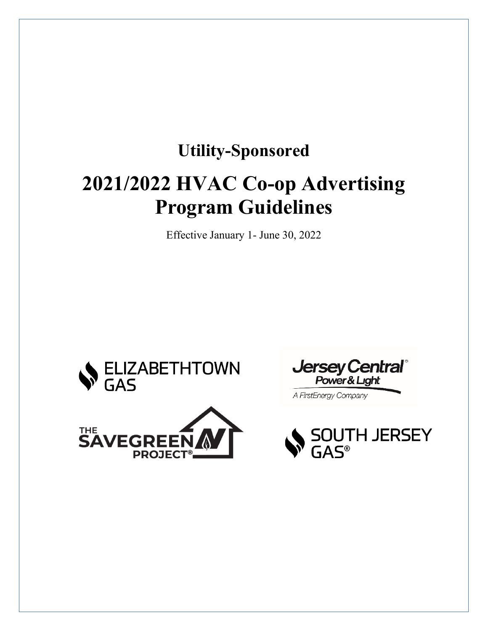# **Utility-Sponsored 2021/2022 HVAC Co-op Advertising Program Guidelines**

Effective January 1- June 30, 2022





**Jersey Central**® Power & Light A FirstEnergy Company

**JTH JERSEY**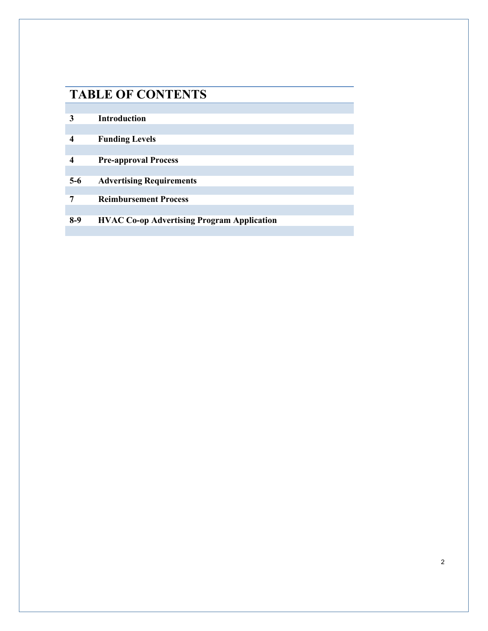### **TABLE OF CONTENTS**

| 3     | <b>Introduction</b>                               |
|-------|---------------------------------------------------|
|       |                                                   |
|       | <b>Funding Levels</b>                             |
|       |                                                   |
|       | <b>Pre-approval Process</b>                       |
|       |                                                   |
| $5-6$ | <b>Advertising Requirements</b>                   |
|       |                                                   |
| 7     | <b>Reimbursement Process</b>                      |
|       |                                                   |
| $8-9$ | <b>HVAC Co-op Advertising Program Application</b> |
|       |                                                   |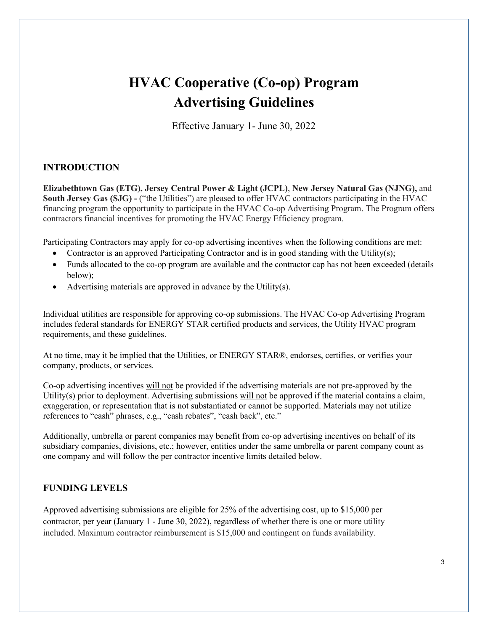## **HVAC Cooperative (Co-op) Program Advertising Guidelines**

Effective January 1- June 30, 2022

#### **INTRODUCTION**

**Elizabethtown Gas (ETG), Jersey Central Power & Light (JCPL)**, **New Jersey Natural Gas (NJNG),** and **South Jersey Gas (SJG) -** ("the Utilities") are pleased to offer HVAC contractors participating in the HVAC financing program the opportunity to participate in the HVAC Co-op Advertising Program. The Program offers contractors financial incentives for promoting the HVAC Energy Efficiency program.

Participating Contractors may apply for co-op advertising incentives when the following conditions are met:

- Contractor is an approved Participating Contractor and is in good standing with the Utility(s);
- Funds allocated to the co-op program are available and the contractor cap has not been exceeded (details below);
- Advertising materials are approved in advance by the Utility(s).

Individual utilities are responsible for approving co-op submissions. The HVAC Co-op Advertising Program includes federal standards for ENERGY STAR certified products and services, the Utility HVAC program requirements, and these guidelines.

At no time, may it be implied that the Utilities, or ENERGY STAR®, endorses, certifies, or verifies your company, products, or services.

Co-op advertising incentives will not be provided if the advertising materials are not pre-approved by the Utility(s) prior to deployment. Advertising submissions will not be approved if the material contains a claim, exaggeration, or representation that is not substantiated or cannot be supported. Materials may not utilize references to "cash" phrases, e.g., "cash rebates", "cash back", etc."

Additionally, umbrella or parent companies may benefit from co-op advertising incentives on behalf of its subsidiary companies, divisions, etc.; however, entities under the same umbrella or parent company count as one company and will follow the per contractor incentive limits detailed below.

#### **FUNDING LEVELS**

Approved advertising submissions are eligible for 25% of the advertising cost, up to \$15,000 per contractor, per year (January 1 - June 30, 2022), regardless of whether there is one or more utility included. Maximum contractor reimbursement is \$15,000 and contingent on funds availability.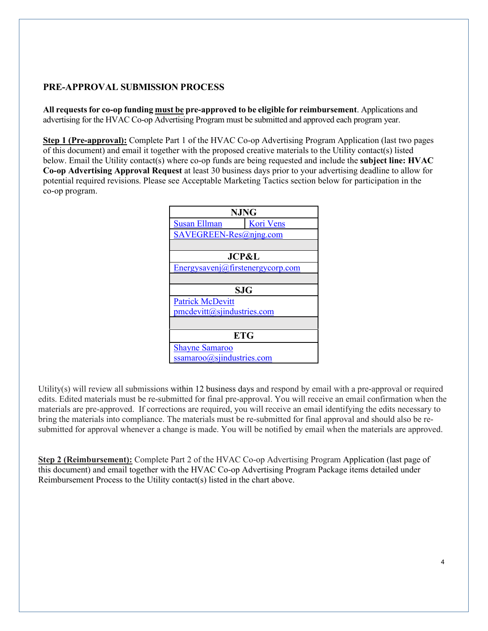#### **PRE-APPROVAL SUBMISSION PROCESS**

**All requests for co-op funding must be pre-approved to be eligible for reimbursement**. Applications and advertising for the HVAC Co-op Advertising Program must be submitted and approved each program year.

**Step 1 (Pre-approval):** Complete Part 1 of the HVAC Co-op Advertising Program Application (last two pages of this document) and email it together with the proposed creative materials to the Utility contact(s) listed below. Email the Utility contact(s) where co-op funds are being requested and include the **subject line: HVAC Co-op Advertising Approval Request** at least 30 business days prior to your advertising deadline to allow for potential required revisions. Please see Acceptable Marketing Tactics section below for participation in the co-op program.



Utility(s) will review all submissions within 12 business days and respond by email with a pre-approval or required edits. Edited materials must be re-submitted for final pre-approval. You will receive an email confirmation when the materials are pre-approved. If corrections are required, you will receive an email identifying the edits necessary to bring the materials into compliance. The materials must be re-submitted for final approval and should also be resubmitted for approval whenever a change is made. You will be notified by email when the materials are approved.

**Step 2 (Reimbursement):** Complete Part 2 of the HVAC Co-op Advertising Program Application (last page of this document) and email together with the HVAC Co-op Advertising Program Package items detailed under Reimbursement Process to the Utility contact(s) listed in the chart above.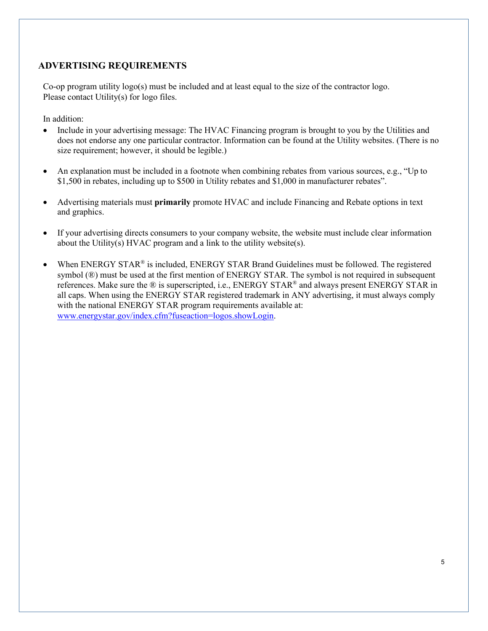#### **ADVERTISING REQUIREMENTS**

Co-op program utility logo(s) must be included and at least equal to the size of the contractor logo. Please contact Utility(s) for logo files.

In addition:

- Include in your advertising message: The HVAC Financing program is brought to you by the Utilities and does not endorse any one particular contractor. Information can be found at the Utility websites. (There is no size requirement; however, it should be legible.)
- An explanation must be included in a footnote when combining rebates from various sources, e.g., "Up to \$1,500 in rebates, including up to \$500 in Utility rebates and \$1,000 in manufacturer rebates".
- Advertising materials must **primarily** promote HVAC and include Financing and Rebate options in text and graphics.
- If your advertising directs consumers to your company website, the website must include clear information about the Utility(s) HVAC program and a link to the utility website(s).
- When ENERGY STAR<sup>®</sup> is included, ENERGY STAR Brand Guidelines must be followed. The registered symbol (®) must be used at the first mention of ENERGY STAR. The symbol is not required in subsequent references. Make sure the ® is superscripted, i.e., ENERGY STAR® and always present ENERGY STAR in all caps. When using the ENERGY STAR registered trademark in ANY advertising, it must always comply with the national ENERGY STAR program requirements available at: [www.energystar.gov/index.cfm?fuseaction=logos.showLogin.](http://www.energystar.gov/index.cfm?fuseaction=logos.showLogin)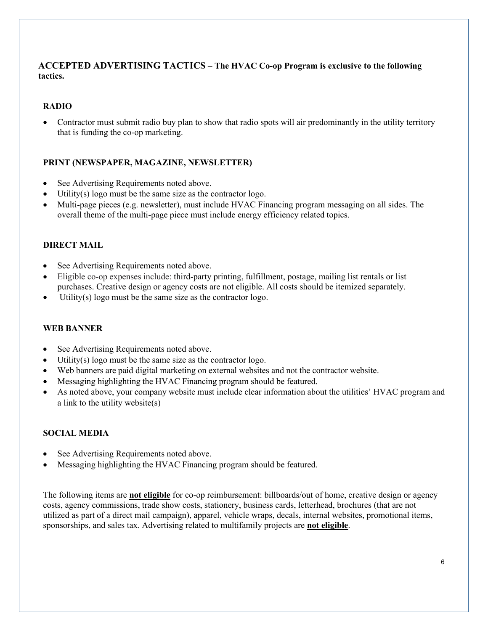#### **ACCEPTED ADVERTISING TACTICS – The HVAC Co-op Program is exclusive to the following tactics.**

#### **RADIO**

• Contractor must submit radio buy plan to show that radio spots will air predominantly in the utility territory that is funding the co-op marketing.

#### **PRINT (NEWSPAPER, MAGAZINE, NEWSLETTER)**

- See Advertising Requirements noted above.
- Utility(s) logo must be the same size as the contractor logo.
- Multi-page pieces (e.g. newsletter), must include HVAC Financing program messaging on all sides. The overall theme of the multi-page piece must include energy efficiency related topics.

#### **DIRECT MAIL**

- See Advertising Requirements noted above.
- Eligible co-op expenses include: third-party printing, fulfillment, postage, mailing list rentals or list purchases. Creative design or agency costs are not eligible. All costs should be itemized separately.
- Utility(s) logo must be the same size as the contractor logo.

#### **WEB BANNER**

- See Advertising Requirements noted above.
- Utility(s) logo must be the same size as the contractor logo.
- Web banners are paid digital marketing on external websites and not the contractor website.
- Messaging highlighting the HVAC Financing program should be featured.
- As noted above, your company website must include clear information about the utilities' HVAC program and a link to the utility website(s)

#### **SOCIAL MEDIA**

- See Advertising Requirements noted above.
- Messaging highlighting the HVAC Financing program should be featured.

The following items are **not eligible** for co-op reimbursement: billboards/out of home, creative design or agency costs, agency commissions, trade show costs, stationery, business cards, letterhead, brochures (that are not utilized as part of a direct mail campaign), apparel, vehicle wraps, decals, internal websites, promotional items, sponsorships, and sales tax. Advertising related to multifamily projects are **not eligible**.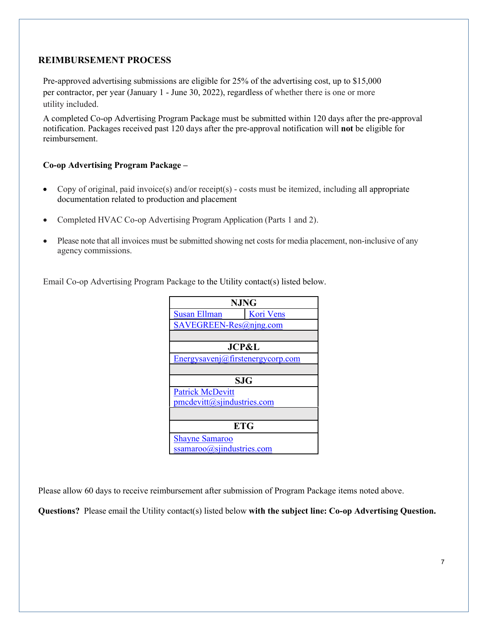#### **REIMBURSEMENT PROCESS**

Pre-approved advertising submissions are eligible for 25% of the advertising cost, up to \$15,000 per contractor, per year (January 1 - June 30, 2022), regardless of whether there is one or more utility included.

A completed Co-op Advertising Program Package must be submitted within 120 days after the pre-approval notification. Packages received past 120 days after the pre-approval notification will **not** be eligible for reimbursement.

#### **Co-op Advertising Program Package –**

- Copy of original, paid invoice(s) and/or receipt(s) costs must be itemized, including all appropriate documentation related to production and placement
- Completed HVAC Co-op Advertising Program Application (Parts 1 and 2).
- Please note that all invoices must be submitted showing net costs for media placement, non-inclusive of any agency commissions.

Email Co-op Advertising Program Package to the Utility contact(s) listed below.

| <b>NJNG</b>                      |           |  |  |  |
|----------------------------------|-----------|--|--|--|
| <b>Susan Ellman</b>              | Kori Vens |  |  |  |
| SAVEGREEN-Res@ning.com           |           |  |  |  |
|                                  |           |  |  |  |
| <b>JCP&amp;L</b>                 |           |  |  |  |
| Energysavenj@firstenergycorp.com |           |  |  |  |
|                                  |           |  |  |  |
| <b>SJG</b>                       |           |  |  |  |
| <b>Patrick McDevitt</b>          |           |  |  |  |
| $pmcdevitt(a)$ sjindustries.com  |           |  |  |  |
|                                  |           |  |  |  |
| <b>ETG</b>                       |           |  |  |  |
| <b>Shayne Samaroo</b>            |           |  |  |  |
| ssamaroo@sjindustries.com        |           |  |  |  |

Please allow 60 days to receive reimbursement after submission of Program Package items noted above.

**Questions?** Please email the Utility contact(s) listed below **with the subject line: Co-op Advertising Question.**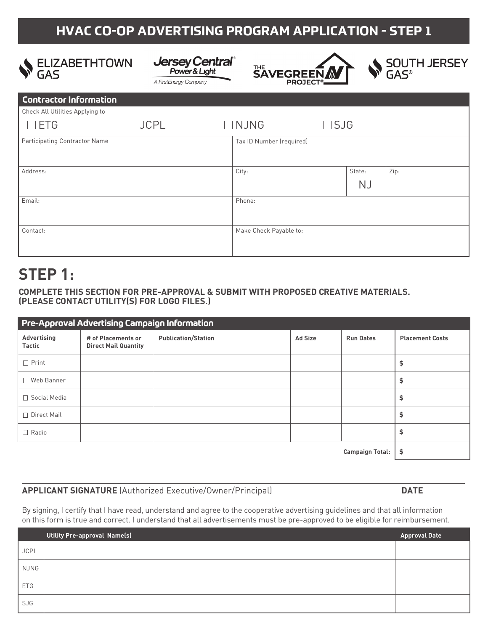### **HVAC CO-OP ADVERTISING PROGRAM APPLICATION - STEP 1**





A FirstEnergy Company





| <b>Contractor Information</b>   |             |                          |               |                     |      |
|---------------------------------|-------------|--------------------------|---------------|---------------------|------|
| Check All Utilities Applying to |             |                          |               |                     |      |
| <b>ETG</b><br>$\mathcal{L}$     | $\Box$ JCPL | $\Box$ NJNG              | $\square$ SJG |                     |      |
| Participating Contractor Name   |             | Tax ID Number (required) |               |                     |      |
| Address:                        |             | City:                    |               | State:<br><b>NJ</b> | Zip: |
| Email:                          |             | Phone:                   |               |                     |      |
| Contact:                        |             | Make Check Payable to:   |               |                     |      |

# **STEP 1:**

**COMPLETE THIS SECTION FOR PRE-APPROVAL & SUBMIT WITH PROPOSED CREATIVE MATERIALS. (PLEASE CONTACT UTILITY(S) FOR LOGO FILES.)**

| Pre-Approval Advertising Campaign Information |                                                   |                            |                |                  |                        |
|-----------------------------------------------|---------------------------------------------------|----------------------------|----------------|------------------|------------------------|
| Advertising<br><b>Tactic</b>                  | # of Placements or<br><b>Direct Mail Quantity</b> | <b>Publication/Station</b> | <b>Ad Size</b> | <b>Run Dates</b> | <b>Placement Costs</b> |
| $\Box$ Print                                  |                                                   |                            |                |                  | \$                     |
| □ Web Banner                                  |                                                   |                            |                |                  | \$                     |
| $\Box$ Social Media                           |                                                   |                            |                |                  | \$                     |
| □ Direct Mail                                 |                                                   |                            |                |                  | \$                     |
| $\Box$ Radio                                  |                                                   |                            |                |                  | \$                     |
| <b>Campaign Total:</b>                        |                                                   |                            | \$             |                  |                        |

**APPLICANT SIGNATURE** (Authorized Executive/Owner/Principal) **DATE**

By signing, I certify that I have read, understand and agree to the cooperative advertising guidelines and that all information on this form is true and correct. I understand that all advertisements must be pre-approved to be eligible for reimbursement.

|             | Utility Pre-approval Name(s) | <b>Approval Date</b> |
|-------------|------------------------------|----------------------|
| <b>JCPL</b> |                              |                      |
| NJNG        |                              |                      |
| <b>ETG</b>  |                              |                      |
| SJG         |                              |                      |